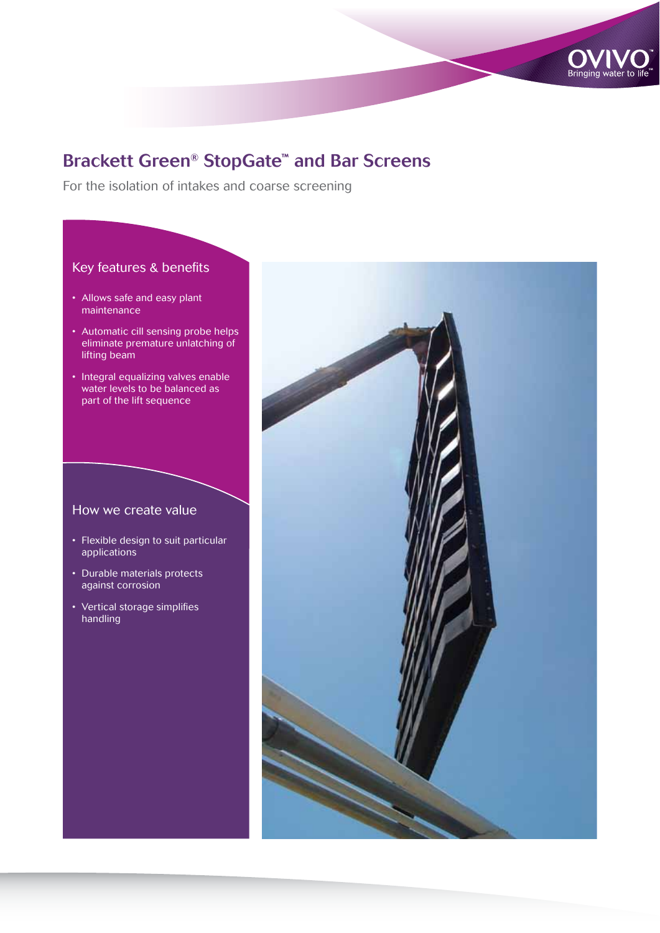

# Brackett Green® StopGate™ and Bar Screens

For the isolation of intakes and coarse screening

# Key features & benefits

- Allows safe and easy plant maintenance
- Automatic cill sensing probe helps eliminate premature unlatching of lifting beam
- Integral equalizing valves enable water levels to be balanced as part of the lift sequence

## How we create value

- Flexible design to suit particular applications
- Durable materials protects against corrosion
- Vertical storage simplifies handling

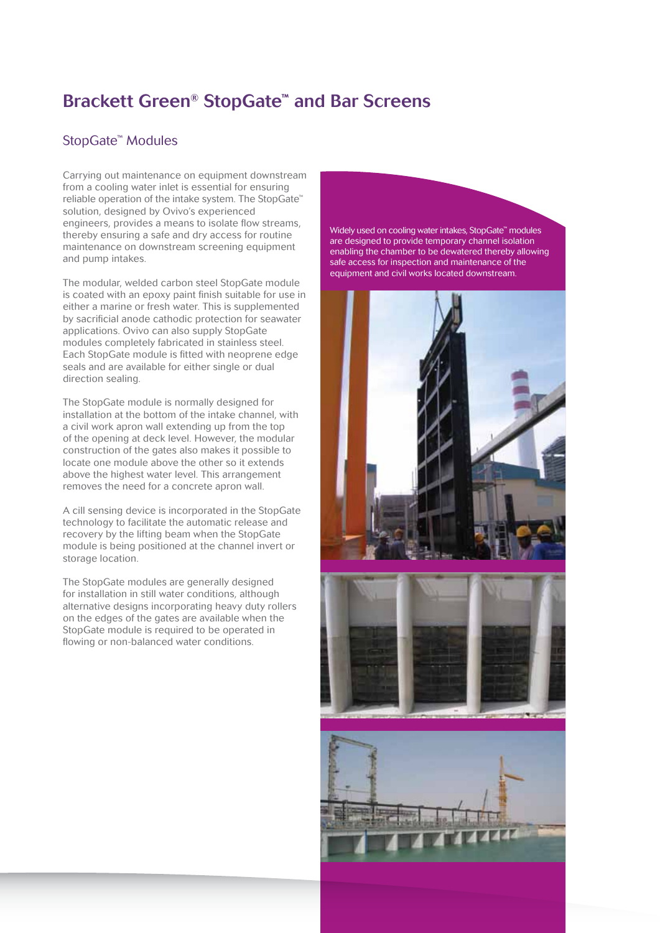# Brackett Green® StopGate™ and Bar Screens

## StopGate™ Modules

Carrying out maintenance on equipment downstream from a cooling water inlet is essential for ensuring reliable operation of the intake system. The StopGate™ solution, designed by Ovivo's experienced engineers, provides a means to isolate flow streams, thereby ensuring a safe and dry access for routine maintenance on downstream screening equipment and pump intakes.

The modular, welded carbon steel StopGate module is coated with an epoxy paint finish suitable for use in either a marine or fresh water. This is supplemented by sacrificial anode cathodic protection for seawater applications. Ovivo can also supply StopGate modules completely fabricated in stainless steel. Each StopGate module is fitted with neoprene edge seals and are available for either single or dual direction sealing.

The StopGate module is normally designed for installation at the bottom of the intake channel, with a civil work apron wall extending up from the top of the opening at deck level. However, the modular construction of the gates also makes it possible to locate one module above the other so it extends above the highest water level. This arrangement removes the need for a concrete apron wall.

A cill sensing device is incorporated in the StopGate technology to facilitate the automatic release and recovery by the lifting beam when the StopGate module is being positioned at the channel invert or storage location.

The StopGate modules are generally designed for installation in still water conditions, although alternative designs incorporating heavy duty rollers on the edges of the gates are available when the StopGate module is required to be operated in flowing or non-balanced water conditions.

Widely used on cooling water intakes, StopGate™ modules are designed to provide temporary channel isolation enabling the chamber to be dewatered thereby allowing safe access for inspection and maintenance of the equipment and civil works located downstream.





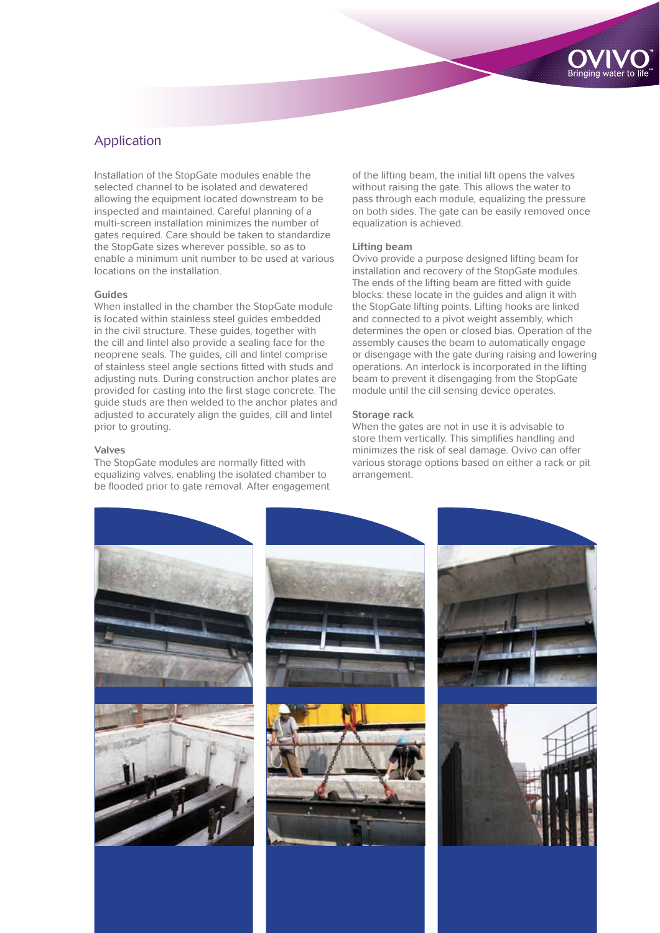

# Application

Installation of the StopGate modules enable the selected channel to be isolated and dewatered allowing the equipment located downstream to be inspected and maintained. Careful planning of a multi-screen installation minimizes the number of gates required. Care should be taken to standardize the StopGate sizes wherever possible, so as to enable a minimum unit number to be used at various locations on the installation.

### Guides

When installed in the chamber the StopGate module is located within stainless steel guides embedded in the civil structure. These guides, together with the cill and lintel also provide a sealing face for the neoprene seals. The guides, cill and lintel comprise of stainless steel angle sections fitted with studs and adjusting nuts. During construction anchor plates are provided for casting into the first stage concrete. The guide studs are then welded to the anchor plates and adjusted to accurately align the guides, cill and lintel prior to grouting.

#### Valves

The StopGate modules are normally fitted with equalizing valves, enabling the isolated chamber to be flooded prior to gate removal. After engagement of the lifting beam, the initial lift opens the valves without raising the gate. This allows the water to pass through each module, equalizing the pressure on both sides. The gate can be easily removed once equalization is achieved.

## Lifting beam

Ovivo provide a purpose designed lifting beam for installation and recovery of the StopGate modules. The ends of the lifting beam are fitted with guide blocks: these locate in the guides and align it with the StopGate lifting points. Lifting hooks are linked and connected to a pivot weight assembly, which determines the open or closed bias. Operation of the assembly causes the beam to automatically engage or disengage with the gate during raising and lowering operations. An interlock is incorporated in the lifting beam to prevent it disengaging from the StopGate module until the cill sensing device operates.

#### Storage rack

When the gates are not in use it is advisable to store them vertically. This simplifies handling and minimizes the risk of seal damage. Ovivo can offer various storage options based on either a rack or pit arrangement.